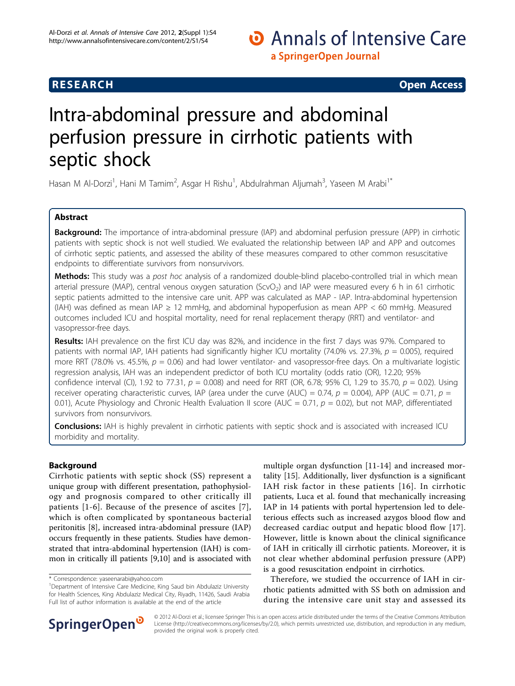# **RESEARCH CONSTRUCTION CONSTRUCTS**

# Intra-abdominal pressure and abdominal perfusion pressure in cirrhotic patients with septic shock

Hasan M Al-Dorzi<sup>1</sup>, Hani M Tamim<sup>2</sup>, Asgar H Rishu<sup>1</sup>, Abdulrahman Aljumah<sup>3</sup>, Yaseen M Arabi<sup>1\*</sup>

# Abstract

Background: The importance of intra-abdominal pressure (IAP) and abdominal perfusion pressure (APP) in cirrhotic patients with septic shock is not well studied. We evaluated the relationship between IAP and APP and outcomes of cirrhotic septic patients, and assessed the ability of these measures compared to other common resuscitative endpoints to differentiate survivors from nonsurvivors.

Methods: This study was a post hoc analysis of a randomized double-blind placebo-controlled trial in which mean arterial pressure (MAP), central venous oxygen saturation (ScvO<sub>2</sub>) and IAP were measured every 6 h in 61 cirrhotic septic patients admitted to the intensive care unit. APP was calculated as MAP - IAP. Intra-abdominal hypertension (IAH) was defined as mean IAP  $\geq$  12 mmHg, and abdominal hypoperfusion as mean APP < 60 mmHg. Measured outcomes included ICU and hospital mortality, need for renal replacement therapy (RRT) and ventilator- and vasopressor-free days.

Results: IAH prevalence on the first ICU day was 82%, and incidence in the first 7 days was 97%. Compared to patients with normal IAP, IAH patients had significantly higher ICU mortality (74.0% vs. 27.3%,  $p = 0.005$ ), required more RRT (78.0% vs. 45.5%,  $p = 0.06$ ) and had lower ventilator- and vasopressor-free days. On a multivariate logistic regression analysis, IAH was an independent predictor of both ICU mortality (odds ratio (OR), 12.20; 95% confidence interval (CI), 1.92 to 77.31,  $p = 0.008$ ) and need for RRT (OR, 6.78; 95% CI, 1.29 to 35.70,  $p = 0.02$ ). Using receiver operating characteristic curves, IAP (area under the curve (AUC) = 0.74,  $p = 0.004$ ), APP (AUC = 0.71,  $p =$ 0.01), Acute Physiology and Chronic Health Evaluation II score (AUC = 0.71,  $p = 0.02$ ), but not MAP, differentiated survivors from nonsurvivors.

Conclusions: IAH is highly prevalent in cirrhotic patients with septic shock and is associated with increased ICU morbidity and mortality.

# Background

Cirrhotic patients with septic shock (SS) represent a unique group with different presentation, pathophysiology and prognosis compared to other critically ill patients [[1-6\]](#page-9-0). Because of the presence of ascites [[7\]](#page-9-0), which is often complicated by spontaneous bacterial peritonitis [\[8](#page-9-0)], increased intra-abdominal pressure (IAP) occurs frequently in these patients. Studies have demonstrated that intra-abdominal hypertension (IAH) is common in critically ill patients [\[9,10\]](#page-9-0) and is associated with

multiple organ dysfunction [[11-14\]](#page-9-0) and increased mortality [[15\]](#page-9-0). Additionally, liver dysfunction is a significant IAH risk factor in these patients [[16](#page-9-0)]. In cirrhotic patients, Luca et al. found that mechanically increasing IAP in 14 patients with portal hypertension led to deleterious effects such as increased azygos blood flow and decreased cardiac output and hepatic blood flow [[17](#page-9-0)]. However, little is known about the clinical significance of IAH in critically ill cirrhotic patients. Moreover, it is not clear whether abdominal perfusion pressure (APP) is a good resuscitation endpoint in cirrhotics.

Therefore, we studied the occurrence of IAH in cirrhotic patients admitted with SS both on admission and during the intensive care unit stay and assessed its



© 2012 Al-Dorzi et al.; licensee Springer This is an open access article distributed under the terms of the Creative Commons Attribution License [\(http://creativecommons.org/licenses/by/2.0](http://creativecommons.org/licenses/by/2.0)), which permits unrestricted use, distribution, and reproduction in any medium, provided the original work is properly cited.

<sup>\*</sup> Correspondence: [yaseenarabi@yahoo.com](mailto:yaseenarabi@yahoo.com)

<sup>&</sup>lt;sup>1</sup>Department of Intensive Care Medicine, King Saud bin Abdulaziz University for Health Sciences, King Abdulaziz Medical City, Riyadh, 11426, Saudi Arabia Full list of author information is available at the end of the article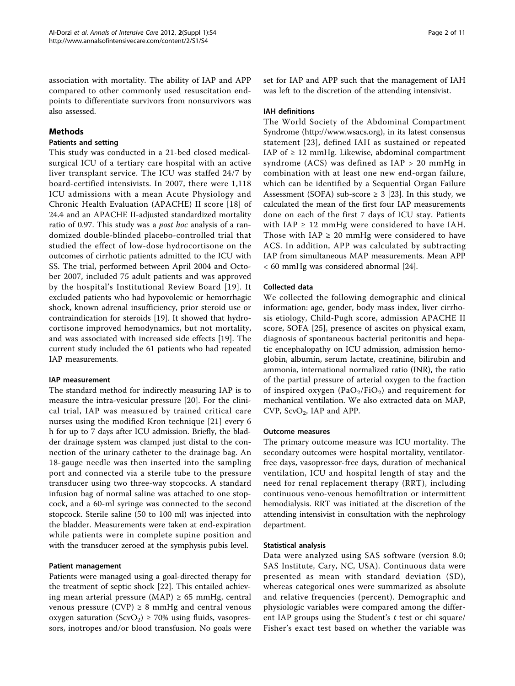association with mortality. The ability of IAP and APP compared to other commonly used resuscitation endpoints to differentiate survivors from nonsurvivors was also assessed.

# Methods

# Patients and setting

This study was conducted in a 21-bed closed medicalsurgical ICU of a tertiary care hospital with an active liver transplant service. The ICU was staffed 24/7 by board-certified intensivists. In 2007, there were 1,118 ICU admissions with a mean Acute Physiology and Chronic Health Evaluation (APACHE) II score [\[18\]](#page-9-0) of 24.4 and an APACHE II-adjusted standardized mortality ratio of 0.97. This study was a *post hoc* analysis of a randomized double-blinded placebo-controlled trial that studied the effect of low-dose hydrocortisone on the outcomes of cirrhotic patients admitted to the ICU with SS. The trial, performed between April 2004 and October 2007, included 75 adult patients and was approved by the hospital's Institutional Review Board [[19\]](#page-9-0). It excluded patients who had hypovolemic or hemorrhagic shock, known adrenal insufficiency, prior steroid use or contraindication for steroids [[19\]](#page-9-0). It showed that hydrocortisone improved hemodynamics, but not mortality, and was associated with increased side effects [\[19](#page-9-0)]. The current study included the 61 patients who had repeated IAP measurements.

# IAP measurement

The standard method for indirectly measuring IAP is to measure the intra-vesicular pressure [\[20](#page-9-0)]. For the clinical trial, IAP was measured by trained critical care nurses using the modified Kron technique [\[21](#page-9-0)] every 6 h for up to 7 days after ICU admission. Briefly, the bladder drainage system was clamped just distal to the connection of the urinary catheter to the drainage bag. An 18-gauge needle was then inserted into the sampling port and connected via a sterile tube to the pressure transducer using two three-way stopcocks. A standard infusion bag of normal saline was attached to one stopcock, and a 60-ml syringe was connected to the second stopcock. Sterile saline (50 to 100 ml) was injected into the bladder. Measurements were taken at end-expiration while patients were in complete supine position and with the transducer zeroed at the symphysis pubis level.

#### Patient management

Patients were managed using a goal-directed therapy for the treatment of septic shock [\[22](#page-9-0)]. This entailed achieving mean arterial pressure (MAP)  $\geq 65$  mmHg, central venous pressure (CVP)  $\geq$  8 mmHg and central venous oxygen saturation (ScvO<sub>2</sub>)  $\geq$  70% using fluids, vasopressors, inotropes and/or blood transfusion. No goals were set for IAP and APP such that the management of IAH was left to the discretion of the attending intensivist.

#### IAH definitions

The World Society of the Abdominal Compartment Syndrome [\(http://www.wsacs.org\)](http://www.wsacs.org), in its latest consensus statement [\[23\]](#page-9-0), defined IAH as sustained or repeated IAP of  $\geq$  12 mmHg. Likewise, abdominal compartment syndrome (ACS) was defined as IAP > 20 mmHg in combination with at least one new end-organ failure, which can be identified by a Sequential Organ Failure Assessment (SOFA) sub-score  $\geq$  3 [[23\]](#page-9-0). In this study, we calculated the mean of the first four IAP measurements done on each of the first 7 days of ICU stay. Patients with  $IAP \geq 12$  mmHg were considered to have IAH. Those with  $IAP \geq 20$  mmHg were considered to have ACS. In addition, APP was calculated by subtracting IAP from simultaneous MAP measurements. Mean APP < 60 mmHg was considered abnormal [\[24](#page-9-0)].

# Collected data

We collected the following demographic and clinical information: age, gender, body mass index, liver cirrhosis etiology, Child-Pugh score, admission APACHE II score, SOFA [[25\]](#page-10-0), presence of ascites on physical exam, diagnosis of spontaneous bacterial peritonitis and hepatic encephalopathy on ICU admission, admission hemoglobin, albumin, serum lactate, creatinine, bilirubin and ammonia, international normalized ratio (INR), the ratio of the partial pressure of arterial oxygen to the fraction of inspired oxygen (PaO<sub>2</sub>/FiO<sub>2</sub>) and requirement for mechanical ventilation. We also extracted data on MAP, CVP, ScvO<sub>2</sub>, IAP and APP.

#### Outcome measures

The primary outcome measure was ICU mortality. The secondary outcomes were hospital mortality, ventilatorfree days, vasopressor-free days, duration of mechanical ventilation, ICU and hospital length of stay and the need for renal replacement therapy (RRT), including continuous veno-venous hemofiltration or intermittent hemodialysis. RRT was initiated at the discretion of the attending intensivist in consultation with the nephrology department.

# Statistical analysis

Data were analyzed using SAS software (version 8.0; SAS Institute, Cary, NC, USA). Continuous data were presented as mean with standard deviation (SD), whereas categorical ones were summarized as absolute and relative frequencies (percent). Demographic and physiologic variables were compared among the different IAP groups using the Student's  $t$  test or chi square/ Fisher's exact test based on whether the variable was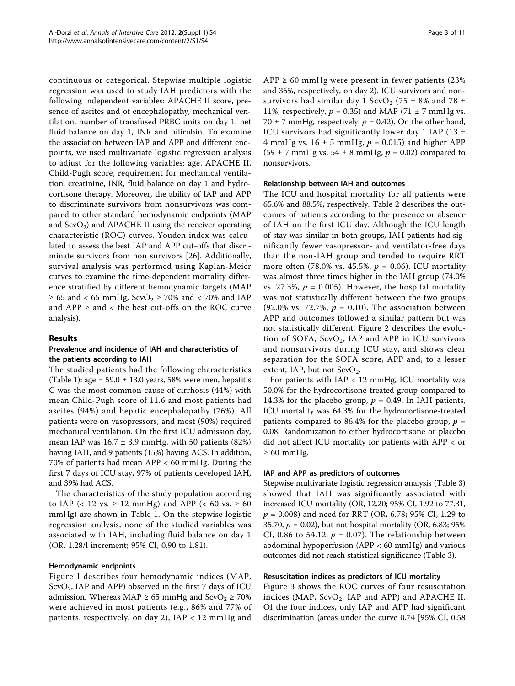continuous or categorical. Stepwise multiple logistic regression was used to study IAH predictors with the following independent variables: APACHE II score, presence of ascites and of encephalopathy, mechanical ventilation, number of transfused PRBC units on day 1, net fluid balance on day 1, INR and bilirubin. To examine the association between IAP and APP and different endpoints, we used multivariate logistic regression analysis to adjust for the following variables: age, APACHE II, Child-Pugh score, requirement for mechanical ventilation, creatinine, INR, fluid balance on day 1 and hydrocortisone therapy. Moreover, the ability of IAP and APP to discriminate survivors from nonsurvivors was compared to other standard hemodynamic endpoints (MAP and  $ScvO<sub>2</sub>$ ) and APACHE II using the receiver operating characteristic (ROC) curves. Youden index was calculated to assess the best IAP and APP cut-offs that discriminate survivors from non survivors [[26](#page-10-0)]. Additionally, survival analysis was performed using Kaplan-Meier curves to examine the time-dependent mortality difference stratified by different hemodynamic targets (MAP  $\geq 65$  and < 65 mmHg, ScvO<sub>2</sub>  $\geq 70\%$  and < 70% and IAP and  $APP \geq$  and  $\lt$  the best cut-offs on the ROC curve analysis).

# Results

## Prevalence and incidence of IAH and characteristics of the patients according to IAH

The studied patients had the following characteristics (Table [1\)](#page-3-0): age =  $59.0 \pm 13.0$  years, 58% were men, hepatitis C was the most common cause of cirrhosis (44%) with mean Child-Pugh score of 11.6 and most patients had ascites (94%) and hepatic encephalopathy (76%). All patients were on vasopressors, and most (90%) required mechanical ventilation. On the first ICU admission day, mean IAP was  $16.7 \pm 3.9$  mmHg, with 50 patients (82%) having IAH, and 9 patients (15%) having ACS. In addition, 70% of patients had mean APP < 60 mmHg. During the first 7 days of ICU stay, 97% of patients developed IAH, and 39% had ACS.

The characteristics of the study population according to IAP (< 12 vs.  $\geq$  12 mmHg) and APP (< 60 vs.  $\geq$  60 mmHg) are shown in Table [1](#page-3-0). On the stepwise logistic regression analysis, none of the studied variables was associated with IAH, including fluid balance on day 1 (OR, 1.28/l increment; 95% CI, 0.90 to 1.81).

#### Hemodynamic endpoints

Figure [1](#page-4-0) describes four hemodynamic indices (MAP,  $ScvO<sub>2</sub>$ , IAP and APP) observed in the first 7 days of ICU admission. Whereas MAP  $\geq$  65 mmHg and ScvO<sub>2</sub>  $\geq$  70% were achieved in most patients (e.g., 86% and 77% of patients, respectively, on day 2), IAP < 12 mmHg and  $APP \ge 60$  mmHg were present in fewer patients (23%) and 36%, respectively, on day 2). ICU survivors and nonsurvivors had similar day 1 ScvO<sub>2</sub> (75  $\pm$  8% and 78  $\pm$ 11%, respectively,  $p = 0.35$ ) and MAP (71  $\pm$  7 mmHg vs. 70  $\pm$  7 mmHg, respectively,  $p = 0.42$ ). On the other hand, ICU survivors had significantly lower day 1 IAP (13  $\pm$ 4 mmHg vs.  $16 \pm 5$  mmHg,  $p = 0.015$ ) and higher APP  $(59 \pm 7 \text{ mmHg vs. } 54 \pm 8 \text{ mmHg}, p = 0.02)$  compared to nonsurvivors.

#### Relationship between IAH and outcomes

The ICU and hospital mortality for all patients were 65.6% and 88.5%, respectively. Table [2](#page-4-0) describes the outcomes of patients according to the presence or absence of IAH on the first ICU day. Although the ICU length of stay was similar in both groups, IAH patients had significantly fewer vasopressor- and ventilator-free days than the non-IAH group and tended to require RRT more often (78.0% vs. 45.5%,  $p = 0.06$ ). ICU mortality was almost three times higher in the IAH group (74.0% vs. 27.3%,  $p = 0.005$ ). However, the hospital mortality was not statistically different between the two groups (92.0% vs. 72.7%,  $p = 0.10$ ). The association between APP and outcomes followed a similar pattern but was not statistically different. Figure [2](#page-5-0) describes the evolution of SOFA,  $ScvO<sub>2</sub>$ , IAP and APP in ICU survivors and nonsurvivors during ICU stay, and shows clear separation for the SOFA score, APP and, to a lesser extent, IAP, but not  $ScvO<sub>2</sub>$ .

For patients with  $IAP < 12$  mmHg, ICU mortality was 50.0% for the hydrocortisone-treated group compared to 14.3% for the placebo group,  $p = 0.49$ . In IAH patients, ICU mortality was 64.3% for the hydrocortisone-treated patients compared to 86.4% for the placebo group,  $p =$ 0.08. Randomization to either hydrocortisone or placebo did not affect ICU mortality for patients with APP < or  $\geq 60$  mmHg.

# IAP and APP as predictors of outcomes

Stepwise multivariate logistic regression analysis (Table [3](#page-6-0)) showed that IAH was significantly associated with increased ICU mortality (OR, 12.20; 95% CI, 1.92 to 77.31,  $p = 0.008$ ) and need for RRT (OR, 6.78; 95% CI, 1.29 to 35.70,  $p = 0.02$ ), but not hospital mortality (OR, 6.83; 95% CI, 0.86 to 54.12,  $p = 0.07$ ). The relationship between abdominal hypoperfusion (APP < 60 mmHg) and various outcomes did not reach statistical significance (Table [3\)](#page-6-0).

#### Resuscitation indices as predictors of ICU mortality

Figure [3](#page-7-0) shows the ROC curves of four resuscitation indices (MAP,  $S$ cv $O_2$ , IAP and APP) and APACHE II. Of the four indices, only IAP and APP had significant discrimination (areas under the curve 0.74 [95% CI, 0.58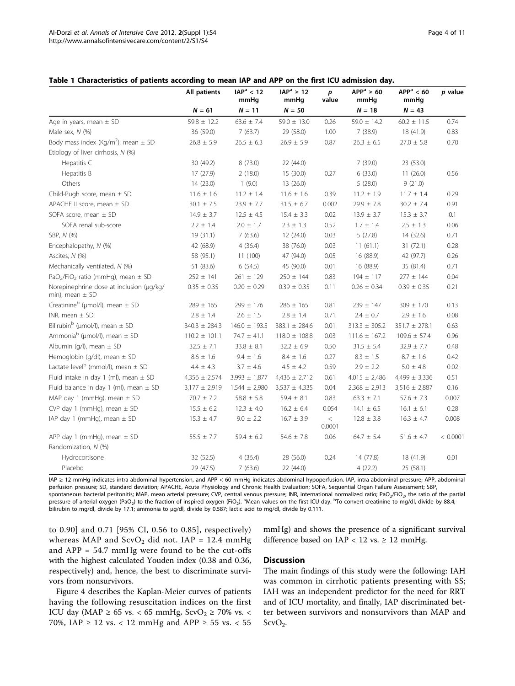<span id="page-3-0"></span>

|                                                                 | All patients      | IAP <sup>a</sup> < 12<br>mmHg | $IAP^a \geq 12$<br>mmHg | p<br>value        | $APPa \ge 60$<br>mmHg | APP <sup>a</sup> < 60<br>mmHg | p value  |
|-----------------------------------------------------------------|-------------------|-------------------------------|-------------------------|-------------------|-----------------------|-------------------------------|----------|
|                                                                 | $N = 61$          | $N = 11$                      | $N = 50$                |                   | $N = 18$              | $N = 43$                      |          |
| Age in years, mean $\pm$ SD                                     | $59.8 \pm 12.2$   | $63.6 \pm 7.4$                | $59.0 \pm 13.0$         | 0.26              | 59.0 $\pm$ 14.2       | $60.2 \pm 11.5$               | 0.74     |
| Male sex, N (%)                                                 | 36 (59.0)         | 7(63.7)                       | 29 (58.0)               | 1.00              | 7(38.9)               | 18 (41.9)                     | 0.83     |
| Body mass index (Kg/m <sup>2</sup> ), mean $\pm$ SD             | $26.8 \pm 5.9$    | $26.5 \pm 6.3$                | $26.9 \pm 5.9$          | 0.87              | $26.3 \pm 6.5$        | $27.0 \pm 5.8$                | 0.70     |
| Etiology of liver cirrhosis, N (%)                              |                   |                               |                         |                   |                       |                               |          |
| Hepatitis C                                                     | 30 (49.2)         | 8 (73.0)                      | 22 (44.0)               |                   | 7(39.0)               | 23 (53.0)                     |          |
| Hepatitis B                                                     | 17 (27.9)         | 2(18.0)                       | 15(30.0)                | 0.27              | 6(33.0)               | 11(26.0)                      | 0.56     |
| Others                                                          | 14 (23.0)         | 1(9.0)                        | 13 (26.0)               |                   | 5(28.0)               | 9(21.0)                       |          |
| Child-Pugh score, mean $\pm$ SD                                 | $11.6 \pm 1.6$    | $11.2 \pm 1.4$                | $11.6 \pm 1.6$          | 0.39              | $11.2 \pm 1.9$        | $11.7 \pm 1.4$                | 0.29     |
| APACHE II score, mean ± SD                                      | $30.1 \pm 7.5$    | $23.9 \pm 7.7$                | $31.5 \pm 6.7$          | 0.002             | $29.9 \pm 7.8$        | $30.2 \pm 7.4$                | 0.91     |
| SOFA score, mean $\pm$ SD                                       | $14.9 \pm 3.7$    | $12.5 \pm 4.5$                | $15.4 \pm 3.3$          | 0.02              | $13.9 \pm 3.7$        | $15.3 \pm 3.7$                | 0.1      |
| SOFA renal sub-score                                            | $2.2 \pm 1.4$     | $2.0 \pm 1.7$                 | $2.3 \pm 1.3$           | 0.52              | $1.7 \pm 1.4$         | $2.5 \pm 1.3$                 | 0.06     |
| SBP, N (%)                                                      | 19 (31.1)         | 7(63.6)                       | 12(24.0)                | 0.03              | 5(27.8)               | 14 (32.6)                     | 0.71     |
| Encephalopathy, N (%)                                           | 42 (68.9)         | 4(36.4)                       | 38 (76.0)               | 0.03              | 11(61.1)              | 31(72.1)                      | 0.28     |
| Ascites, N (%)                                                  | 58 (95.1)         | 11 (100)                      | 47 (94.0)               | 0.05              | 16 (88.9)             | 42 (97.7)                     | 0.26     |
| Mechanically ventilated, N (%)                                  | 51 (83.6)         | 6(54.5)                       | 45 (90.0)               | 0.01              | 16 (88.9)             | 35 (81.4)                     | 0.71     |
| PaO <sub>2</sub> /FiO <sub>2</sub> ratio (mmHg), mean ± SD      | $252 \pm 141$     | $261 \pm 129$                 | $250 \pm 144$           | 0.83              | $194 \pm 117$         | $277 \pm 144$                 | 0.04     |
| Norepinephrine dose at inclusion (µq/kg/<br>min), mean $\pm$ SD | $0.35 \pm 0.35$   | $0.20 \pm 0.29$               | $0.39 \pm 0.35$         | 0.11              | $0.26 \pm 0.34$       | $0.39 \pm 0.35$               | 0.21     |
| Creatinine <sup>b</sup> (µmol/l), mean $\pm$ SD                 | $289 \pm 165$     | $299 \pm 176$                 | $286 \pm 165$           | 0.81              | $239 \pm 147$         | 309 ± 170                     | 0.13     |
| INR, mean $\pm$ SD                                              | $2.8 \pm 1.4$     | $2.6 \pm 1.5$                 | $2.8 \pm 1.4$           | 0.71              | $2.4 \pm 0.7$         | $2.9 \pm 1.6$                 | 0.08     |
| Bilirubin <sup>b</sup> (µmol/l), mean $\pm$ SD                  | 340.3 ± 284.3     | $146.0 \pm 193.5$             | $383.1 \pm 284.6$       | 0.01              | $313.3 \pm 305.2$     | $351.7 \pm 278.1$             | 0.63     |
| Ammonia <sup>b</sup> (µmol/l), mean $\pm$ SD                    | $110.2 \pm 101.1$ | $74.7 \pm 41.1$               | $118.0 \pm 108.8$       | 0.03              | $111.6 \pm 167.2$     | $109.6 \pm 57.4$              | 0.96     |
| Albumin (g/l), mean $\pm$ SD                                    | $32.5 \pm 7.1$    | $33.8 \pm 8.1$                | $32.2 \pm 6.9$          | 0.50              | $31.5 \pm 5.4$        | $32.9 \pm 7.7$                | 0.48     |
| Hemoglobin (g/dl), mean $\pm$ SD                                | $8.6 \pm 1.6$     | $9.4 \pm 1.6$                 | $8.4 \pm 1.6$           | 0.27              | $8.3 \pm 1.5$         | $8.7 \pm 1.6$                 | 0.42     |
| Lactate level <sup>b</sup> (mmol/l), mean $\pm$ SD              | $4.4 \pm 4.3$     | $3.7 \pm 4.6$                 | $4.5 \pm 4.2$           | 0.59              | $2.9 \pm 2.2$         | $5.0 \pm 4.8$                 | 0.02     |
| Fluid intake in day 1 (ml), mean $\pm$ SD                       | $4,356 \pm 2,574$ | $3,993 \pm 1,877$             | $4,436 \pm 2,712$       | 0.61              | $4,015 \pm 2,486$     | $4,499 \pm 3,336$             | 0.51     |
| Fluid balance in day 1 (ml), mean $\pm$ SD                      | $3,177 \pm 2,919$ | $1,544 \pm 2,980$             | $3,537 \pm 4,335$       | 0.04              | $2,368 \pm 2,913$     | $3,516 \pm 2,887$             | 0.16     |
| MAP day 1 (mmHg), mean $\pm$ SD                                 | $70.7 \pm 7.2$    | $58.8 \pm 5.8$                | $59.4 \pm 8.1$          | 0.83              | $63.3 \pm 7.1$        | $57.6 \pm 7.3$                | 0.007    |
| CVP day 1 (mmHg), mean $\pm$ SD                                 | $15.5 \pm 6.2$    | $12.3 \pm 4.0$                | $16.2 \pm 6.4$          | 0.054             | $14.1 \pm 6.5$        | $16.1 \pm 6.1$                | 0.28     |
| IAP day 1 (mmHg), mean $\pm$ SD                                 | $15.3~\pm~4.7$    | $9.0 \pm 2.2$                 | $16.7 \pm 3.9$          | $\,<\,$<br>0.0001 | $12.8 \pm 3.8$        | $16.3 \pm 4.7$                | 0.008    |
| APP day 1 (mmHg), mean $\pm$ SD                                 | $55.5 \pm 7.7$    | $59.4 \pm 6.2$                | $54.6 \pm 7.8$          | 0.06              | $64.7 \pm 5.4$        | $51.6 \pm 4.7$                | < 0.0001 |
| Randomization, N (%)                                            |                   |                               |                         |                   |                       |                               |          |
| Hydrocortisone                                                  | 32 (52.5)         | 4(36.4)                       | 28 (56.0)               | 0.24              | 14 (77.8)             | 18 (41.9)                     | 0.01     |
| Placebo                                                         | 29 (47.5)         | 7(63.6)                       | 22 (44.0)               |                   | 4(22.2)               | 25 (58.1)                     |          |

IAP ≥ 12 mmHg indicates intra-abdominal hypertension, and APP < 60 mmHg indicates abdominal hypoperfusion. IAP, intra-abdominal pressure; APP, abdominal perfusion pressure; SD, standard deviation; APACHE, Acute Physiology and Chronic Health Evaluation; SOFA, Sequential Organ Failure Assessment; SBP, spontaneous bacterial peritonitis; MAP, mean arterial pressure; CVP, central venous pressure; INR, international normalized ratio; PaO<sub>2</sub>/FiO<sub>2</sub>, the ratio of the partial pressure of arterial oxygen (PaO<sub>2</sub>) to the fraction of inspired oxygen (FiO<sub>2</sub>). <sup>a</sup>Mean values on the first ICU day. <sup>b</sup>To convert creatinine to mg/dl, divide by 88.4; bilirubin to mg/dl, divide by 17.1; ammonia to μg/dl, divide by 0.587; lactic acid to mg/dl, divide by 0.111.

to 0.90] and 0.71 [95% CI, 0.56 to 0.85], respectively) whereas MAP and  $ScvO<sub>2</sub>$  did not. IAP = 12.4 mmHg and APP = 54.7 mmHg were found to be the cut-offs with the highest calculated Youden index (0.38 and 0.36, respectively) and, hence, the best to discriminate survivors from nonsurvivors.

Figure [4](#page-8-0) describes the Kaplan-Meier curves of patients having the following resuscitation indices on the first ICU day (MAP  $\geq$  65 vs. < 65 mmHg, ScvO<sub>2</sub>  $\geq$  70% vs. < 70%, IAP  $\geq$  12 vs. < 12 mmHg and APP  $\geq$  55 vs. < 55

mmHg) and shows the presence of a significant survival difference based on IAP < 12 vs.  $\geq$  12 mmHg.

# Discussion

The main findings of this study were the following: IAH was common in cirrhotic patients presenting with SS; IAH was an independent predictor for the need for RRT and of ICU mortality, and finally, IAP discriminated better between survivors and nonsurvivors than MAP and  $ScvO<sub>2</sub>$ .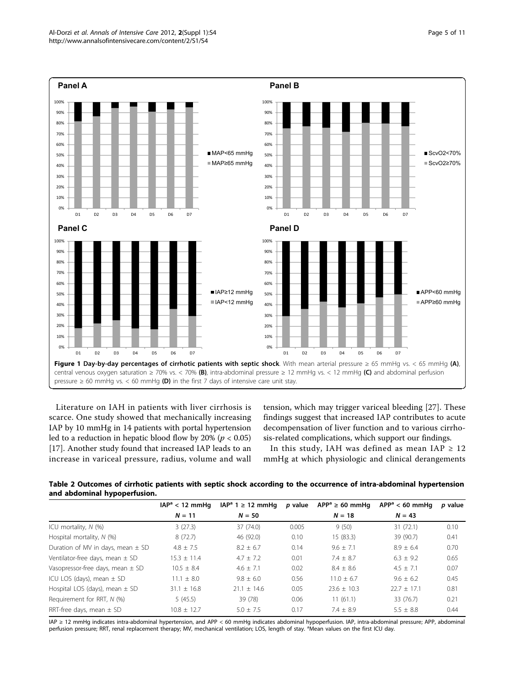<span id="page-4-0"></span>

Literature on IAH in patients with liver cirrhosis is scarce. One study showed that mechanically increasing IAP by 10 mmHg in 14 patients with portal hypertension led to a reduction in hepatic blood flow by  $20\%$  ( $p < 0.05$ ) [[17\]](#page-9-0). Another study found that increased IAP leads to an increase in variceal pressure, radius, volume and wall

tension, which may trigger variceal bleeding [\[27](#page-10-0)]. These findings suggest that increased IAP contributes to acute decompensation of liver function and to various cirrhosis-related complications, which support our findings.

In this study, IAH was defined as mean IAP  $\geq$  12 mmHg at which physiologic and clinical derangements

Table 2 Outcomes of cirrhotic patients with septic shock according to the occurrence of intra-abdominal hypertension and abdominal hypoperfusion.

|                                       | $IAPa < 12$ mmHq | $IAPa 1 \ge 12$ mmHq | p value | $APPa \ge 60$ mmHq | $APPa < 60$ mmHa | p value |
|---------------------------------------|------------------|----------------------|---------|--------------------|------------------|---------|
|                                       | $N = 11$         | $N = 50$             |         | $N = 18$           | $N = 43$         |         |
| ICU mortality, N (%)                  | 3(27.3)          | 37 (74.0)            | 0.005   | 9(50)              | 31(72.1)         | 0.10    |
| Hospital mortality, $N$ (%)           | 8(72.7)          | 46 (92.0)            | 0.10    | 15(83.3)           | 39 (90.7)        | 0.41    |
| Duration of MV in days, mean $\pm$ SD | $4.8 \pm 7.5$    | $8.2 \pm 6.7$        | 0.14    | $9.6 + 7.1$        | $8.9 \pm 6.4$    | 0.70    |
| Ventilator-free days, mean $\pm$ SD   | $15.3 \pm 11.4$  | $4.7 \pm 7.2$        | 0.01    | $7.4 \pm 8.7$      | $6.3 \pm 9.2$    | 0.65    |
| Vasopressor-free days, mean $\pm$ SD  | $10.5 \pm 8.4$   | $4.6 \pm 7.1$        | 0.02    | $8.4 \pm 8.6$      | $4.5 \pm 7.1$    | 0.07    |
| ICU LOS (days), mean $\pm$ SD         | $11.1 + 8.0$     | $9.8 + 6.0$          | 0.56    | $11.0 + 6.7$       | $9.6 + 6.2$      | 0.45    |
| Hospital LOS (days), mean $\pm$ SD    | $31.1 + 16.8$    | $21.1 + 14.6$        | 0.05    | $23.6 \pm 10.3$    | $22.7 \pm 17.1$  | 0.81    |
| Requirement for RRT, N (%)            | 5(45.5)          | 39 (78)              | 0.06    | 11(61.1)           | 33 (76.7)        | 0.21    |
| RRT-free days, mean $\pm$ SD          | $10.8 + 12.7$    | $5.0 + 7.5$          | 0.17    | $7.4 + 8.9$        | $5.5 + 8.8$      | 0.44    |

IAP ≥ 12 mmHg indicates intra-abdominal hypertension, and APP < 60 mmHg indicates abdominal hypoperfusion. IAP, intra-abdominal pressure; APP, abdominal perfusion pressure; RRT, renal replacement therapy; MV, mechanical ventilation; LOS, length of stay. <sup>a</sup>Mean values on the first ICU day.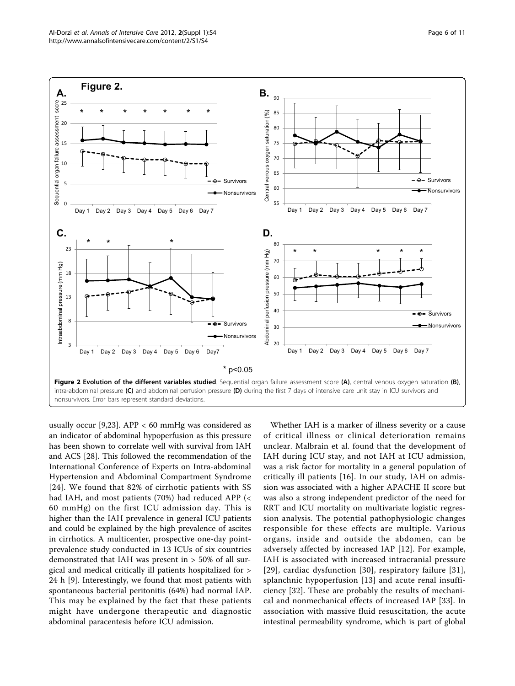<span id="page-5-0"></span>

usually occur [\[9,23](#page-9-0)]. APP  $<$  60 mmHg was considered as an indicator of abdominal hypoperfusion as this pressure has been shown to correlate well with survival from IAH and ACS [[28\]](#page-10-0). This followed the recommendation of the International Conference of Experts on Intra-abdominal Hypertension and Abdominal Compartment Syndrome [[24](#page-9-0)]. We found that 82% of cirrhotic patients with SS had IAH, and most patients (70%) had reduced APP (< 60 mmHg) on the first ICU admission day. This is higher than the IAH prevalence in general ICU patients and could be explained by the high prevalence of ascites in cirrhotics. A multicenter, prospective one-day pointprevalence study conducted in 13 ICUs of six countries demonstrated that IAH was present in > 50% of all surgical and medical critically ill patients hospitalized for > 24 h [[9\]](#page-9-0). Interestingly, we found that most patients with spontaneous bacterial peritonitis (64%) had normal IAP. This may be explained by the fact that these patients might have undergone therapeutic and diagnostic abdominal paracentesis before ICU admission.

Whether IAH is a marker of illness severity or a cause of critical illness or clinical deterioration remains unclear. Malbrain et al. found that the development of IAH during ICU stay, and not IAH at ICU admission, was a risk factor for mortality in a general population of critically ill patients [[16](#page-9-0)]. In our study, IAH on admission was associated with a higher APACHE II score but was also a strong independent predictor of the need for RRT and ICU mortality on multivariate logistic regression analysis. The potential pathophysiologic changes responsible for these effects are multiple. Various organs, inside and outside the abdomen, can be adversely affected by increased IAP [[12](#page-9-0)]. For example, IAH is associated with increased intracranial pressure [[29](#page-10-0)], cardiac dysfunction [[30](#page-10-0)], respiratory failure [[31](#page-10-0)], splanchnic hypoperfusion [\[13](#page-9-0)] and acute renal insufficiency [[32\]](#page-10-0). These are probably the results of mechanical and nonmechanical effects of increased IAP [[33\]](#page-10-0). In association with massive fluid resuscitation, the acute intestinal permeability syndrome, which is part of global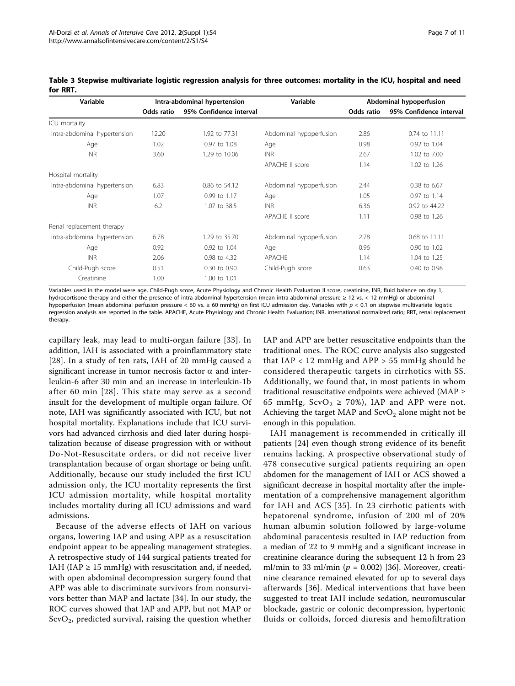| Variable                     | Intra-abdominal hypertension |                         | Variable                | Abdominal hypoperfusion |                         |  |
|------------------------------|------------------------------|-------------------------|-------------------------|-------------------------|-------------------------|--|
|                              | Odds ratio                   | 95% Confidence interval |                         | Odds ratio              | 95% Confidence interval |  |
| ICU mortality                |                              |                         |                         |                         |                         |  |
| Intra-abdominal hypertension | 12.20                        | 1.92 to 77.31           | Abdominal hypoperfusion | 2.86                    | 0.74 to 11.11           |  |
| Age                          | 1.02                         | 0.97 to 1.08            | Age                     | 0.98                    | 0.92 to 1.04            |  |
| <b>INR</b>                   | 3.60                         | 1.29 to 10.06           | <b>INR</b>              | 2.67                    | 1.02 to 7.00            |  |
|                              |                              |                         | APACHE II score         | 1.14                    | 1.02 to 1.26            |  |
| Hospital mortality           |                              |                         |                         |                         |                         |  |
| Intra-abdominal hypertension | 6.83                         | 0.86 to 54.12           | Abdominal hypoperfusion | 2.44                    | 0.38 to 6.67            |  |
| Age                          | 1.07                         | 0.99 to 1.17            | Age                     | 1.05                    | 0.97 to 1.14            |  |
| <b>INR</b>                   | 6.2                          | 1.07 to 38.5            | <b>INR</b>              | 6.36                    | 0.92 to 44.22           |  |
|                              |                              |                         | APACHE II score         | 1.11                    | 0.98 to 1.26            |  |
| Renal replacement therapy    |                              |                         |                         |                         |                         |  |
| Intra-abdominal hypertension | 6.78                         | 1.29 to 35.70           | Abdominal hypoperfusion | 2.78                    | 0.68 to 11.11           |  |
| Age                          | 0.92                         | 0.92 to 1.04            | Age                     | 0.96                    | 0.90 to 1.02            |  |
| <b>INR</b>                   | 2.06                         | 0.98 to 4.32            | APACHE                  | 1.14                    | 1.04 to 1.25            |  |
| Child-Pugh score             | 0.51                         | 0.30 to 0.90            | Child-Pugh score        | 0.63                    | 0.40 to 0.98            |  |
| Creatinine                   | 1.00                         | 1.00 to 1.01            |                         |                         |                         |  |

<span id="page-6-0"></span>Table 3 Stepwise multivariate logistic regression analysis for three outcomes: mortality in the ICU, hospital and need for RRT.

Variables used in the model were age, Child-Pugh score, Acute Physiology and Chronic Health Evaluation II score, creatinine, INR, fluid balance on day 1, hydrocortisone therapy and either the presence of intra-abdominal hypertension (mean intra-abdominal pressure ≥ 12 vs. < 12 mmHg) or abdominal hypoperfusion (mean abdominal perfusion pressure < 60 vs.  $\geq$  60 mmHg) on first ICU admission day. Variables with  $p < 0.1$  on stepwise multivariate logistic regression analysis are reported in the table. APACHE, Acute Physiology and Chronic Health Evaluation; INR, international normalized ratio; RRT, renal replacement therapy.

capillary leak, may lead to multi-organ failure [[33](#page-10-0)]. In addition, IAH is associated with a proinflammatory state [[28](#page-10-0)]. In a study of ten rats, IAH of 20 mmHg caused a significant increase in tumor necrosis factor  $\alpha$  and interleukin-6 after 30 min and an increase in interleukin-1b after 60 min [\[28](#page-10-0)]. This state may serve as a second insult for the development of multiple organ failure. Of note, IAH was significantly associated with ICU, but not hospital mortality. Explanations include that ICU survivors had advanced cirrhosis and died later during hospitalization because of disease progression with or without Do-Not-Resuscitate orders, or did not receive liver transplantation because of organ shortage or being unfit. Additionally, because our study included the first ICU admission only, the ICU mortality represents the first ICU admission mortality, while hospital mortality includes mortality during all ICU admissions and ward admissions.

Because of the adverse effects of IAH on various organs, lowering IAP and using APP as a resuscitation endpoint appear to be appealing management strategies. A retrospective study of 144 surgical patients treated for IAH (IAP  $\geq$  15 mmHg) with resuscitation and, if needed, with open abdominal decompression surgery found that APP was able to discriminate survivors from nonsurvivors better than MAP and lactate [\[34](#page-10-0)]. In our study, the ROC curves showed that IAP and APP, but not MAP or  $ScvO<sub>2</sub>$ , predicted survival, raising the question whether IAP and APP are better resuscitative endpoints than the traditional ones. The ROC curve analysis also suggested that  $IAP < 12$  mmHg and  $APP > 55$  mmHg should be considered therapeutic targets in cirrhotics with SS. Additionally, we found that, in most patients in whom traditional resuscitative endpoints were achieved (MAP ≥ 65 mmHg,  $ScvO<sub>2</sub> \ge 70$ %), IAP and APP were not. Achieving the target MAP and  $ScvO<sub>2</sub>$  alone might not be enough in this population.

IAH management is recommended in critically ill patients [\[24](#page-9-0)] even though strong evidence of its benefit remains lacking. A prospective observational study of 478 consecutive surgical patients requiring an open abdomen for the management of IAH or ACS showed a significant decrease in hospital mortality after the implementation of a comprehensive management algorithm for IAH and ACS [[35](#page-10-0)]. In 23 cirrhotic patients with hepatorenal syndrome, infusion of 200 ml of 20% human albumin solution followed by large-volume abdominal paracentesis resulted in IAP reduction from a median of 22 to 9 mmHg and a significant increase in creatinine clearance during the subsequent 12 h from 23 ml/min to 33 ml/min ( $p = 0.002$ ) [[36](#page-10-0)]. Moreover, creatinine clearance remained elevated for up to several days afterwards [[36](#page-10-0)]. Medical interventions that have been suggested to treat IAH include sedation, neuromuscular blockade, gastric or colonic decompression, hypertonic fluids or colloids, forced diuresis and hemofiltration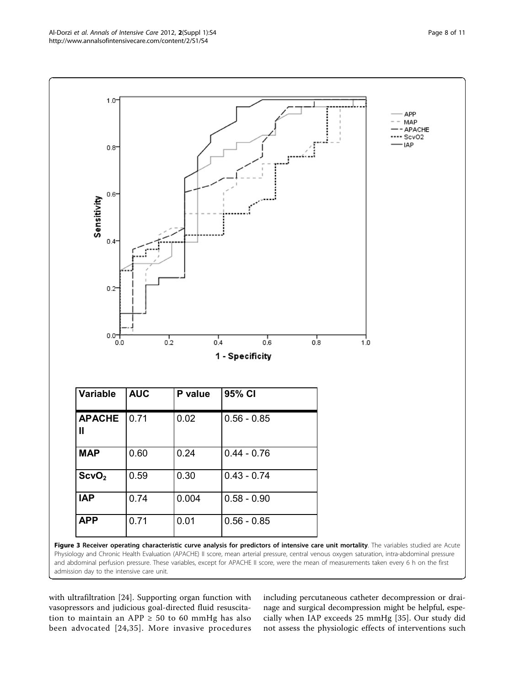<span id="page-7-0"></span>

with ultrafiltration [[24\]](#page-9-0). Supporting organ function with vasopressors and judicious goal-directed fluid resuscitation to maintain an APP  $\geq$  50 to 60 mmHg has also been advocated [[24,](#page-9-0)[35](#page-10-0)]. More invasive procedures

including percutaneous catheter decompression or drainage and surgical decompression might be helpful, especially when IAP exceeds 25 mmHg [[35](#page-10-0)]. Our study did not assess the physiologic effects of interventions such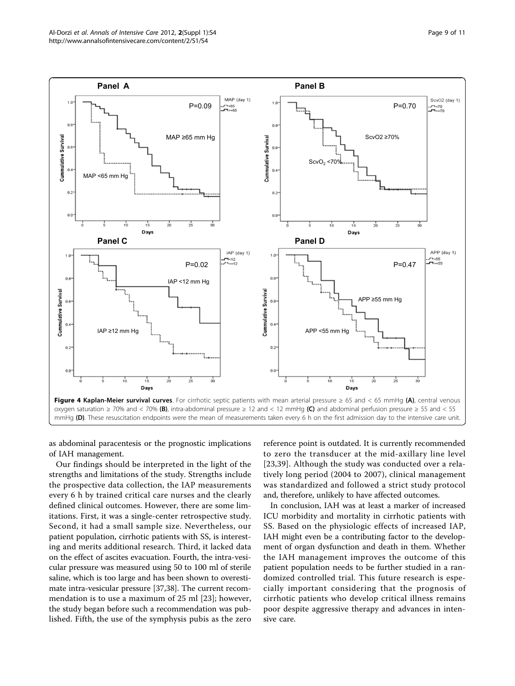<span id="page-8-0"></span>

as abdominal paracentesis or the prognostic implications of IAH management.

Our findings should be interpreted in the light of the strengths and limitations of the study. Strengths include the prospective data collection, the IAP measurements every 6 h by trained critical care nurses and the clearly defined clinical outcomes. However, there are some limitations. First, it was a single-center retrospective study. Second, it had a small sample size. Nevertheless, our patient population, cirrhotic patients with SS, is interesting and merits additional research. Third, it lacked data on the effect of ascites evacuation. Fourth, the intra-vesicular pressure was measured using 50 to 100 ml of sterile saline, which is too large and has been shown to overestimate intra-vesicular pressure [\[37,38\]](#page-10-0). The current recommendation is to use a maximum of 25 ml [\[23](#page-9-0)]; however, the study began before such a recommendation was published. Fifth, the use of the symphysis pubis as the zero

reference point is outdated. It is currently recommended to zero the transducer at the mid-axillary line level [[23](#page-9-0),[39\]](#page-10-0). Although the study was conducted over a relatively long period (2004 to 2007), clinical management was standardized and followed a strict study protocol and, therefore, unlikely to have affected outcomes.

In conclusion, IAH was at least a marker of increased ICU morbidity and mortality in cirrhotic patients with SS. Based on the physiologic effects of increased IAP, IAH might even be a contributing factor to the development of organ dysfunction and death in them. Whether the IAH management improves the outcome of this patient population needs to be further studied in a randomized controlled trial. This future research is especially important considering that the prognosis of cirrhotic patients who develop critical illness remains poor despite aggressive therapy and advances in intensive care.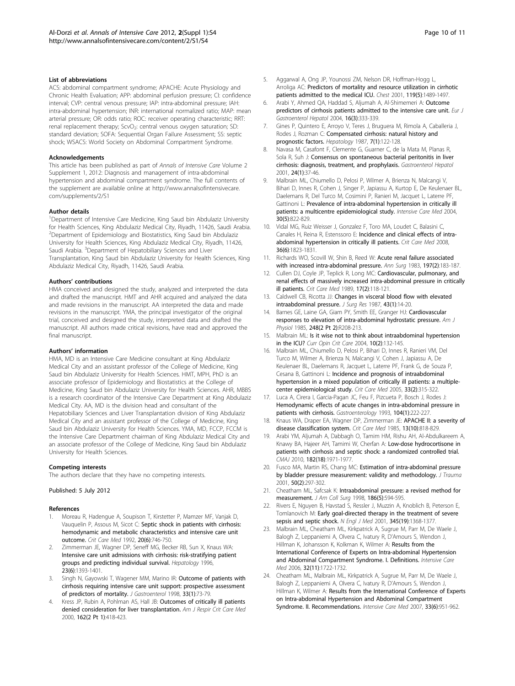#### <span id="page-9-0"></span>List of abbreviations

ACS: abdominal compartment syndrome; APACHE: Acute Physiology and Chronic Health Evaluation; APP: abdominal perfusion pressure; CI: confidence interval; CVP: central venous pressure; IAP: intra-abdominal pressure; IAH: intra-abdominal hypertension; INR: international normalized ratio; MAP: mean arterial pressure; OR: odds ratio; ROC: receiver operating characteristic; RRT: renal replacement therapy; ScvO<sub>2</sub>: central venous oxygen saturation; SD: standard deviation; SOFA: Sequential Organ Failure Assessment; SS: septic shock; WSACS: World Society on Abdominal Compartment Syndrome.

#### Acknowledgements

This article has been published as part of Annals of Intensive Care Volume 2 Supplement 1, 2012: Diagnosis and management of intra-abdominal hypertension and abdominal compartment syndrome. The full contents of the supplement are available online at [http://www.annalsofintensivecare.](http://www.annalsofintensivecare.com/supplements/2/S1) [com/supplements/2/S1](http://www.annalsofintensivecare.com/supplements/2/S1)

#### Author details

<sup>1</sup>Department of Intensive Care Medicine, King Saud bin Abdulaziz University for Health Sciences, King Abdulaziz Medical City, Riyadh, 11426, Saudi Arabia. 2 Department of Epidemiology and Biostatistics, King Saud bin Abdulaziz University for Health Sciences, King Abdulaziz Medical City, Riyadh, 11426, Saudi Arabia. <sup>3</sup>Department of Hepatobiliary Sciences and Liver Transplantation, King Saud bin Abdulaziz University for Health Sciences, King Abdulaziz Medical City, Riyadh, 11426, Saudi Arabia.

#### Authors' contributions

HMA conceived and designed the study, analyzed and interpreted the data and drafted the manuscript. HMT and AHR acquired and analyzed the data and made revisions in the manuscript. AA interpreted the data and made revisions in the manuscript. YMA, the principal investigator of the original trial, conceived and designed the study, interpreted data and drafted the manuscript. All authors made critical revisions, have read and approved the final manuscript.

#### Authors' information

HMA, MD is an Intensive Care Medicine consultant at King Abdulaziz Medical City and an assistant professor of the College of Medicine, King Saud bin Abdulaziz University for Health Sciences. HMT, MPH, PhD is an associate professor of Epidemiology and Biostatistics at the College of Medicine, King Saud bin Abdulaziz University for Health Sciences. AHR, MBBS is a research coordinator of the Intensive Care Department at King Abdulaziz Medical City. AA, MD is the division head and consultant of the Hepatobiliary Sciences and Liver Transplantation division of King Abdulaziz Medical City and an assistant professor of the College of Medicine, King Saud bin Abdulaziz University for Health Sciences. YMA, MD, FCCP, FCCM is the Intensive Care Department chairman of King Abdulaziz Medical City and an associate professor of the College of Medicine, King Saud bin Abdulaziz University for Health Sciences.

#### Competing interests

The authors declare that they have no competing interests.

#### Published: 5 July 2012

#### References

- 1. Moreau R, Hadengue A, Soupison T, Kirstetter P, Mamzer MF, Vanjak D, Vauquelin P, Assous M, Sicot C: [Septic shock in patients with cirrhosis:](http://www.ncbi.nlm.nih.gov/pubmed/1597026?dopt=Abstract) [hemodynamic and metabolic characteristics and intensive care unit](http://www.ncbi.nlm.nih.gov/pubmed/1597026?dopt=Abstract) [outcome.](http://www.ncbi.nlm.nih.gov/pubmed/1597026?dopt=Abstract) Crit Care Med 1992, 20(6):746-750.
- 2. Zimmerman JE, Wagner DP, Seneff MG, Becker RB, Sun X, Knaus WA: [Intensive care unit admissions with cirrhosis: risk-stratifying patient](http://www.ncbi.nlm.nih.gov/pubmed/8675156?dopt=Abstract) [groups and predicting individual survival.](http://www.ncbi.nlm.nih.gov/pubmed/8675156?dopt=Abstract) Hepatology 1996, 23(6):1393-1401.
- 3. Singh N, Gayowski T, Wagener MM, Marino IR: [Outcome of patients with](http://www.ncbi.nlm.nih.gov/pubmed/9497225?dopt=Abstract) [cirrhosis requiring intensive care unit support: prospective assessment](http://www.ncbi.nlm.nih.gov/pubmed/9497225?dopt=Abstract) [of predictors of mortality.](http://www.ncbi.nlm.nih.gov/pubmed/9497225?dopt=Abstract) J Gastroenterol 1998, 33(1):73-79.
- Kress JP, Rubin A, Pohlman AS, Hall JB: [Outcomes of critically ill patients](http://www.ncbi.nlm.nih.gov/pubmed/10934063?dopt=Abstract) [denied consideration for liver transplantation.](http://www.ncbi.nlm.nih.gov/pubmed/10934063?dopt=Abstract) Am J Respir Crit Care Med 2000, 162(2 Pt 1):418-423.
- 5. Aggarwal A, Ong JP, Younossi ZM, Nelson DR, Hoffman-Hogg L, Arroliga AC: [Predictors of mortality and resource utilization in cirrhotic](http://www.ncbi.nlm.nih.gov/pubmed/11348958?dopt=Abstract) [patients admitted to the medical ICU.](http://www.ncbi.nlm.nih.gov/pubmed/11348958?dopt=Abstract) Chest 2001, 119(5):1489-1497.
- Arabi Y, Ahmed QA, Haddad S, Aljumah A, Al-Shimemeri A: [Outcome](http://www.ncbi.nlm.nih.gov/pubmed/15195899?dopt=Abstract) [predictors of cirrhosis patients admitted to the intensive care unit.](http://www.ncbi.nlm.nih.gov/pubmed/15195899?dopt=Abstract) Eur J Gastroenterol Hepatol 2004, 16(3):333-339.
- 7. Gines P, Quintero E, Arroyo V, Teres J, Bruguera M, Rimola A, Caballeria J, Rodes J, Rozman C: [Compensated cirrhosis: natural history and](http://www.ncbi.nlm.nih.gov/pubmed/3804191?dopt=Abstract) [prognostic factors.](http://www.ncbi.nlm.nih.gov/pubmed/3804191?dopt=Abstract) Hepatology 1987, 7(1):122-128.
- 8. Navasa M, Casafont F, Clemente G, Guarner C, de la Mata M, Planas R, Sola R, Suh J: [Consensus on spontaneous bacterial peritonitis in liver](http://www.ncbi.nlm.nih.gov/pubmed/11219138?dopt=Abstract) [cirrhosis: diagnosis, treatment, and prophylaxis.](http://www.ncbi.nlm.nih.gov/pubmed/11219138?dopt=Abstract) Gastroenterol Hepatol 2001, 24(1):37-46.
- 9. Malbrain ML, Chiumello D, Pelosi P, Wilmer A, Brienza N, Malcangi V, Bihari D, Innes R, Cohen J, Singer P, Japiassu A, Kurtop E, De Keulenaer BL, Daelemans R, Del Turco M, Cosimini P, Ranieri M, Jacquet L, Laterre PF, Gattinoni L: [Prevalence of intra-abdominal hypertension in critically ill](http://www.ncbi.nlm.nih.gov/pubmed/14758472?dopt=Abstract) [patients: a multicentre epidemiological study.](http://www.ncbi.nlm.nih.gov/pubmed/14758472?dopt=Abstract) Intensive Care Med 2004, 30(5):822-829.
- 10. Vidal MG, Ruiz Weisser J, Gonzalez F, Toro MA, Loudet C, Balasini C, Canales H, Reina R, Estenssoro E: [Incidence and clinical effects of intra](http://www.ncbi.nlm.nih.gov/pubmed/18520642?dopt=Abstract)[abdominal hypertension in critically ill patients.](http://www.ncbi.nlm.nih.gov/pubmed/18520642?dopt=Abstract) Crit Care Med 2008, 36(6):1823-1831.
- 11. Richards WO, Scovill W, Shin B, Reed W: [Acute renal failure associated](http://www.ncbi.nlm.nih.gov/pubmed/6600601?dopt=Abstract) [with increased intra-abdominal pressure.](http://www.ncbi.nlm.nih.gov/pubmed/6600601?dopt=Abstract) Ann Sura 1983, 197(2):183-187.
- 12. Cullen DJ, Coyle JP, Teplick R, Long MC: [Cardiovascular, pulmonary, and](http://www.ncbi.nlm.nih.gov/pubmed/2914444?dopt=Abstract) [renal effects of massively increased intra-abdominal pressure in critically](http://www.ncbi.nlm.nih.gov/pubmed/2914444?dopt=Abstract) [ill patients.](http://www.ncbi.nlm.nih.gov/pubmed/2914444?dopt=Abstract) Crit Care Med 1989, 17(2):118-121.
- 13. Caldwell CB, Ricotta JJ: [Changes in visceral blood flow with elevated](http://www.ncbi.nlm.nih.gov/pubmed/3599981?dopt=Abstract) [intraabdominal pressure.](http://www.ncbi.nlm.nih.gov/pubmed/3599981?dopt=Abstract) J Surg Res 1987, 43(1):14-20.
- 14. Barnes GE, Laine GA, Giam PY, Smith EE, Granger HJ: [Cardiovascular](http://www.ncbi.nlm.nih.gov/pubmed/3918464?dopt=Abstract) [responses to elevation of intra-abdominal hydrostatic pressure.](http://www.ncbi.nlm.nih.gov/pubmed/3918464?dopt=Abstract) Am J Physiol 1985, 248(2 Pt 2):R208-213.
- 15. Malbrain ML: [Is it wise not to think about intraabdominal hypertension](http://www.ncbi.nlm.nih.gov/pubmed/15075724?dopt=Abstract) [in the ICU?](http://www.ncbi.nlm.nih.gov/pubmed/15075724?dopt=Abstract) Curr Opin Crit Care 2004, 10(2):132-145.
- 16. Malbrain ML, Chiumello D, Pelosi P, Bihari D, Innes R, Ranieri VM, Del Turco M, Wilmer A, Brienza N, Malcangi V, Cohen J, Japiassu A, De Keulenaer BL, Daelemans R, Jacquet L, Laterre PF, Frank G, de Souza P, Cesana B, Gattinoni L: [Incidence and prognosis of intraabdominal](http://www.ncbi.nlm.nih.gov/pubmed/15699833?dopt=Abstract) [hypertension in a mixed population of critically ill patients: a multiple](http://www.ncbi.nlm.nih.gov/pubmed/15699833?dopt=Abstract)[center epidemiological study.](http://www.ncbi.nlm.nih.gov/pubmed/15699833?dopt=Abstract) Crit Care Med 2005, 33(2):315-322.
- 17. Luca A, Cirera I, Garcia-Pagan JC, Feu F, Pizcueta P, Bosch J, Rodes J: [Hemodynamic effects of acute changes in intra-abdominal pressure in](http://www.ncbi.nlm.nih.gov/pubmed/8419245?dopt=Abstract) [patients with cirrhosis.](http://www.ncbi.nlm.nih.gov/pubmed/8419245?dopt=Abstract) Gastroenterology 1993, 104(1):222-227.
- 18. Knaus WA, Draper EA, Wagner DP, Zimmerman JE: [APACHE II: a severity of](http://www.ncbi.nlm.nih.gov/pubmed/3928249?dopt=Abstract) [disease classification system.](http://www.ncbi.nlm.nih.gov/pubmed/3928249?dopt=Abstract) Crit Care Med 1985, 13(10):818-829.
- 19. Arabi YM, Aljumah A, Dabbagh O, Tamim HM, Rishu AH, Al-Abdulkareem A, Knawy BA, Hajeer AH, Tamimi W, Cherfan A: [Low-dose hydrocortisone in](http://www.ncbi.nlm.nih.gov/pubmed/21059778?dopt=Abstract) [patients with cirrhosis and septic shock: a randomized controlled trial.](http://www.ncbi.nlm.nih.gov/pubmed/21059778?dopt=Abstract) CMAJ 2010, 182(18):1971-1977
- 20. Fusco MA, Martin RS, Chang MC: [Estimation of intra-abdominal pressure](http://www.ncbi.nlm.nih.gov/pubmed/11242295?dopt=Abstract) [by bladder pressure measurement: validity and methodology.](http://www.ncbi.nlm.nih.gov/pubmed/11242295?dopt=Abstract) J Trauma 2001, 50(2):297-302.
- 21. Cheatham ML, Safcsak K: [Intraabdominal pressure: a revised method for](http://www.ncbi.nlm.nih.gov/pubmed/9583702?dopt=Abstract) [measurement.](http://www.ncbi.nlm.nih.gov/pubmed/9583702?dopt=Abstract) J Am Coll Surg 1998, 186(5):594-595.
- 22. Rivers E, Nguyen B, Havstad S, Ressler J, Muzzin A, Knoblich B, Peterson E, Tomlanovich M: [Early goal-directed therapy in the treatment of severe](http://www.ncbi.nlm.nih.gov/pubmed/11794169?dopt=Abstract) [sepsis and septic shock.](http://www.ncbi.nlm.nih.gov/pubmed/11794169?dopt=Abstract) N Engl J Med 2001, 345(19):1368-1377
- 23. Malbrain ML, Cheatham ML, Kirkpatrick A, Sugrue M, Parr M, De Waele J, Balogh Z, Leppaniemi A, Olvera C, Ivatury R, D'Amours S, Wendon J, Hillman K, Johansson K, Kolkman K, Wilmer A: [Results from the](http://www.ncbi.nlm.nih.gov/pubmed/16967294?dopt=Abstract) [International Conference of Experts on Intra-abdominal Hypertension](http://www.ncbi.nlm.nih.gov/pubmed/16967294?dopt=Abstract) [and Abdominal Compartment Syndrome. I. Definitions.](http://www.ncbi.nlm.nih.gov/pubmed/16967294?dopt=Abstract) Intensive Care Med 2006, 32(11):1722-1732.
- 24. Cheatham ML, Malbrain ML, Kirkpatrick A, Sugrue M, Parr M, De Waele J, Balogh Z, Leppaniemi A, Olvera C, Ivatury R, D'Amours S, Wendon J, Hillman K, Wilmer A: [Results from the International Conference of Experts](http://www.ncbi.nlm.nih.gov/pubmed/17377769?dopt=Abstract) [on Intra-abdominal Hypertension and Abdominal Compartment](http://www.ncbi.nlm.nih.gov/pubmed/17377769?dopt=Abstract) [Syndrome. II. Recommendations.](http://www.ncbi.nlm.nih.gov/pubmed/17377769?dopt=Abstract) Intensive Care Med 2007, 33(6):951-962.